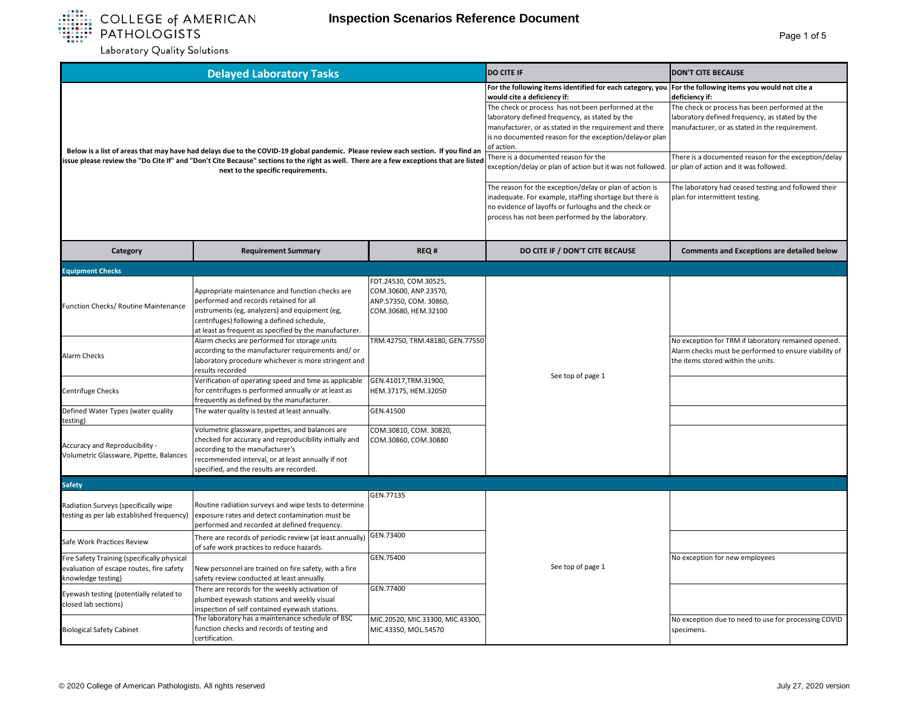

| <b>Delayed Laboratory Tasks</b>                                                                                                                                                                                                                                                                                    |                                                                                                                                                                                                                                                     |                                                                                                  | <b>DO CITE IF</b>                                                                                                                                                                                                                                                                                                                                                                                                                          | <b>DON'T CITE BECAUSE</b>                                                                                                                                                                                                                                                                                              |
|--------------------------------------------------------------------------------------------------------------------------------------------------------------------------------------------------------------------------------------------------------------------------------------------------------------------|-----------------------------------------------------------------------------------------------------------------------------------------------------------------------------------------------------------------------------------------------------|--------------------------------------------------------------------------------------------------|--------------------------------------------------------------------------------------------------------------------------------------------------------------------------------------------------------------------------------------------------------------------------------------------------------------------------------------------------------------------------------------------------------------------------------------------|------------------------------------------------------------------------------------------------------------------------------------------------------------------------------------------------------------------------------------------------------------------------------------------------------------------------|
| Below is a list of areas that may have had delays due to the COVID-19 global pandemic. Please review each section. If you find an<br>issue please review the "Do Cite If" and "Don't Cite Because" sections to the right as well. There are a few exceptions that are listed<br>next to the specific requirements. |                                                                                                                                                                                                                                                     |                                                                                                  | For the following items identified for each category, you<br>would cite a deficiency if:<br>The check or process has not been performed at the<br>laboratory defined frequency, as stated by the<br>manufacturer, or as stated in the requirement and there<br>is no documented reason for the exception/delay or plan<br>of action.<br>There is a documented reason for the<br>exception/delay or plan of action but it was not followed. | For the following items you would not cite a<br>deficiency if:<br>The check or process has been performed at the<br>laboratory defined frequency, as stated by the<br>manufacturer, or as stated in the requirement.<br>There is a documented reason for the exception/delay<br>or plan of action and it was followed. |
|                                                                                                                                                                                                                                                                                                                    |                                                                                                                                                                                                                                                     |                                                                                                  | The reason for the exception/delay or plan of action is<br>inadequate. For example, staffing shortage but there is<br>no evidence of layoffs or furloughs and the check or<br>process has not been performed by the laboratory.                                                                                                                                                                                                            | The laboratory had ceased testing and followed their<br>plan for intermittent testing.                                                                                                                                                                                                                                 |
| Category                                                                                                                                                                                                                                                                                                           | <b>Requirement Summary</b>                                                                                                                                                                                                                          | REQ#                                                                                             | DO CITE IF / DON'T CITE BECAUSE                                                                                                                                                                                                                                                                                                                                                                                                            | <b>Comments and Exceptions are detailed below</b>                                                                                                                                                                                                                                                                      |
| <b>Equipment Checks</b>                                                                                                                                                                                                                                                                                            |                                                                                                                                                                                                                                                     |                                                                                                  |                                                                                                                                                                                                                                                                                                                                                                                                                                            |                                                                                                                                                                                                                                                                                                                        |
| Function Checks/ Routine Maintenance                                                                                                                                                                                                                                                                               | Appropriate maintenance and function checks are<br>performed and records retained for all<br>instruments (eg, analyzers) and equipment (eg,<br>centrifuges) following a defined schedule,<br>at least as frequent as specified by the manufacturer. | FDT.24530, COM.30525,<br>COM.30600, ANP.23570,<br>ANP.57350, COM. 30860,<br>COM.30680, HEM.32100 |                                                                                                                                                                                                                                                                                                                                                                                                                                            |                                                                                                                                                                                                                                                                                                                        |
| <b>Alarm Checks</b>                                                                                                                                                                                                                                                                                                | Alarm checks are performed for storage units<br>according to the manufacturer requirements and/or<br>laboratory procedure whichever is more stringent and<br>results recorded                                                                       | TRM.42750, TRM.48180, GEN.77550                                                                  |                                                                                                                                                                                                                                                                                                                                                                                                                                            | No exception for TRM if laboratory remained opened.<br>Alarm checks must be performed to ensure viability of<br>the items stored within the units.                                                                                                                                                                     |
| Centrifuge Checks                                                                                                                                                                                                                                                                                                  | Verification of operating speed and time as applicable<br>for centrifuges is performed annually or at least as<br>frequently as defined by the manufacturer.                                                                                        | GEN.41017,TRM.31900,<br>HEM.37175, HEM.32050                                                     | See top of page 1                                                                                                                                                                                                                                                                                                                                                                                                                          |                                                                                                                                                                                                                                                                                                                        |
| Defined Water Types (water quality<br>testing)                                                                                                                                                                                                                                                                     | The water quality is tested at least annually.                                                                                                                                                                                                      | GEN.41500                                                                                        |                                                                                                                                                                                                                                                                                                                                                                                                                                            |                                                                                                                                                                                                                                                                                                                        |
| Accuracy and Reproducibility -<br>Volumetric Glassware, Pipette, Balances                                                                                                                                                                                                                                          | Volumetric glassware, pipettes, and balances are<br>checked for accuracy and reproducibility initially and<br>according to the manufacturer's<br>recommended interval, or at least annually if not<br>specified, and the results are recorded.      | COM.30810, COM. 30820,<br>COM.30860, COM.30880                                                   |                                                                                                                                                                                                                                                                                                                                                                                                                                            |                                                                                                                                                                                                                                                                                                                        |
| <b>Safety</b>                                                                                                                                                                                                                                                                                                      |                                                                                                                                                                                                                                                     |                                                                                                  |                                                                                                                                                                                                                                                                                                                                                                                                                                            |                                                                                                                                                                                                                                                                                                                        |
| Radiation Surveys (specifically wipe<br>testing as per lab established frequency)                                                                                                                                                                                                                                  | Routine radiation surveys and wipe tests to determine<br>exposure rates and detect contamination must be<br>performed and recorded at defined frequency.                                                                                            | GEN.77135                                                                                        |                                                                                                                                                                                                                                                                                                                                                                                                                                            |                                                                                                                                                                                                                                                                                                                        |
| Safe Work Practices Review                                                                                                                                                                                                                                                                                         | There are records of periodic review (at least annually)<br>of safe work practices to reduce hazards.                                                                                                                                               | GEN.73400                                                                                        |                                                                                                                                                                                                                                                                                                                                                                                                                                            |                                                                                                                                                                                                                                                                                                                        |
| Fire Safety Training (specifically physical<br>evaluation of escape routes, fire safety<br>knowledge testing)                                                                                                                                                                                                      | New personnel are trained on fire safety, with a fire<br>safety review conducted at least annually.                                                                                                                                                 | GEN.75400                                                                                        | See top of page 1                                                                                                                                                                                                                                                                                                                                                                                                                          | No exception for new employees                                                                                                                                                                                                                                                                                         |
| Eyewash testing (potentially related to<br>closed lab sections)                                                                                                                                                                                                                                                    | There are records for the weekly activation of<br>plumbed eyewash stations and weekly visual<br>inspection of self contained eyewash stations.                                                                                                      | GEN.77400                                                                                        |                                                                                                                                                                                                                                                                                                                                                                                                                                            |                                                                                                                                                                                                                                                                                                                        |
| <b>Biological Safety Cabinet</b>                                                                                                                                                                                                                                                                                   | The laboratory has a maintenance schedule of BSC<br>function checks and records of testing and<br>certification.                                                                                                                                    | MIC.20520, MIC.33300, MIC.43300,<br>MIC.43350, MOL.54570                                         |                                                                                                                                                                                                                                                                                                                                                                                                                                            | No exception due to need to use for processing COVID<br>specimens.                                                                                                                                                                                                                                                     |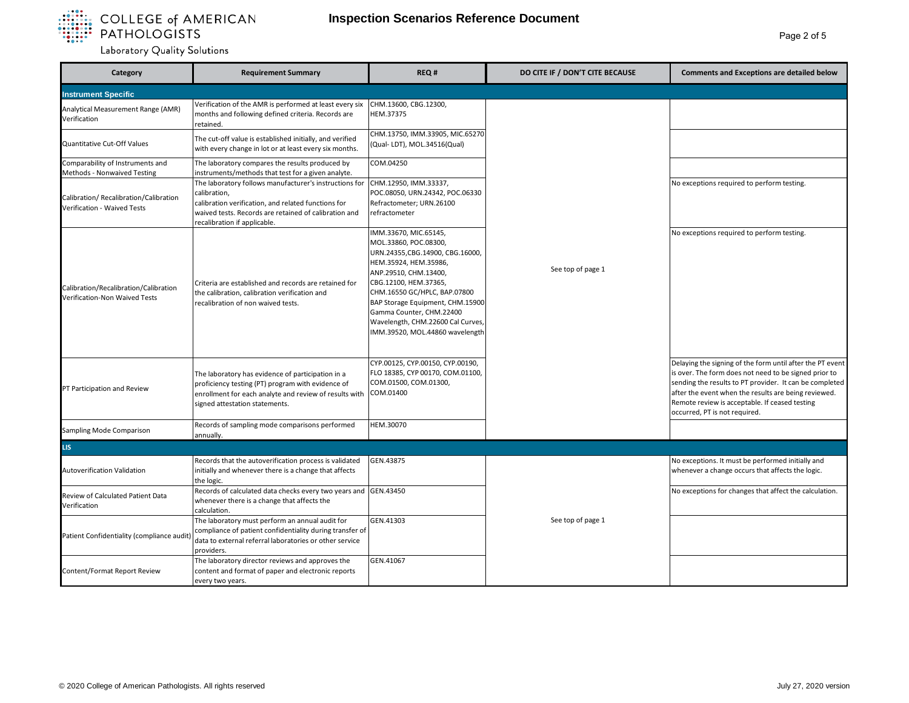

| Category                                                               | <b>Requirement Summary</b>                                                                                                                                                                                             | REQ#                                                                                                                                                                                                                                                                                                                                  | DO CITE IF / DON'T CITE BECAUSE | <b>Comments and Exceptions are detailed below</b>                                                                                                                                                                                                                                                                        |
|------------------------------------------------------------------------|------------------------------------------------------------------------------------------------------------------------------------------------------------------------------------------------------------------------|---------------------------------------------------------------------------------------------------------------------------------------------------------------------------------------------------------------------------------------------------------------------------------------------------------------------------------------|---------------------------------|--------------------------------------------------------------------------------------------------------------------------------------------------------------------------------------------------------------------------------------------------------------------------------------------------------------------------|
| <b>Instrument Specific</b>                                             |                                                                                                                                                                                                                        |                                                                                                                                                                                                                                                                                                                                       |                                 |                                                                                                                                                                                                                                                                                                                          |
| Analytical Measurement Range (AMR)<br>Verification                     | Verification of the AMR is performed at least every six<br>months and following defined criteria. Records are<br>retained.                                                                                             | CHM.13600, CBG.12300,<br>HEM.37375                                                                                                                                                                                                                                                                                                    |                                 |                                                                                                                                                                                                                                                                                                                          |
| Quantitative Cut-Off Values                                            | The cut-off value is established initially, and verified<br>with every change in lot or at least every six months.                                                                                                     | CHM.13750, IMM.33905, MIC.65270<br>(Qual-LDT), MOL.34516(Qual)                                                                                                                                                                                                                                                                        |                                 |                                                                                                                                                                                                                                                                                                                          |
| Comparability of Instruments and<br>Methods - Nonwaived Testing        | The laboratory compares the results produced by<br>instruments/methods that test for a given analyte.                                                                                                                  | COM.04250                                                                                                                                                                                                                                                                                                                             |                                 |                                                                                                                                                                                                                                                                                                                          |
| Calibration/ Recalibration/Calibration<br>Verification - Waived Tests  | The laboratory follows manufacturer's instructions for<br>calibration,<br>calibration verification, and related functions for<br>waived tests. Records are retained of calibration and<br>recalibration if applicable. | CHM.12950, IMM.33337,<br>POC.08050, URN.24342, POC.06330<br>Refractometer; URN.26100<br>refractometer                                                                                                                                                                                                                                 |                                 | No exceptions required to perform testing.                                                                                                                                                                                                                                                                               |
| Calibration/Recalibration/Calibration<br>Verification-Non Waived Tests | Criteria are established and records are retained for<br>the calibration, calibration verification and<br>recalibration of non waived tests.                                                                           | IMM.33670, MIC.65145,<br>MOL.33860, POC.08300,<br>URN.24355, CBG.14900, CBG.16000,<br>HEM.35924, HEM.35986,<br>ANP.29510, CHM.13400,<br>CBG.12100, HEM.37365,<br>CHM.16550 GC/HPLC, BAP.07800<br>BAP Storage Equipment, CHM.15900<br>Gamma Counter, CHM.22400<br>Wavelength, CHM.22600 Cal Curves,<br>IMM.39520, MOL.44860 wavelength | See top of page 1               | No exceptions required to perform testing.                                                                                                                                                                                                                                                                               |
| PT Participation and Review                                            | The laboratory has evidence of participation in a<br>proficiency testing (PT) program with evidence of<br>enrollment for each analyte and review of results with<br>signed attestation statements.                     | CYP.00125, CYP.00150, CYP.00190,<br>FLO 18385, CYP 00170, COM.01100,<br>COM.01500, COM.01300,<br>COM.01400                                                                                                                                                                                                                            |                                 | Delaying the signing of the form until after the PT event<br>is over. The form does not need to be signed prior to<br>sending the results to PT provider. It can be completed<br>after the event when the results are being reviewed.<br>Remote review is acceptable. If ceased testing<br>occurred, PT is not required. |
| Sampling Mode Comparison                                               | Records of sampling mode comparisons performed<br>annually.                                                                                                                                                            | HEM.30070                                                                                                                                                                                                                                                                                                                             |                                 |                                                                                                                                                                                                                                                                                                                          |
| LIS.                                                                   |                                                                                                                                                                                                                        |                                                                                                                                                                                                                                                                                                                                       |                                 |                                                                                                                                                                                                                                                                                                                          |
| Autoverification Validation                                            | Records that the autoverification process is validated<br>initially and whenever there is a change that affects<br>the logic.                                                                                          | GEN.43875                                                                                                                                                                                                                                                                                                                             |                                 | No exceptions. It must be performed initially and<br>whenever a change occurs that affects the logic.                                                                                                                                                                                                                    |
| Review of Calculated Patient Data<br>Verification                      | Records of calculated data checks every two years and<br>whenever there is a change that affects the<br>calculation.                                                                                                   | GEN.43450                                                                                                                                                                                                                                                                                                                             |                                 | No exceptions for changes that affect the calculation.                                                                                                                                                                                                                                                                   |
| Patient Confidentiality (compliance audit                              | The laboratory must perform an annual audit for<br>compliance of patient confidentiality during transfer of<br>data to external referral laboratories or other service<br>providers.                                   | GEN.41303                                                                                                                                                                                                                                                                                                                             | See top of page 1               |                                                                                                                                                                                                                                                                                                                          |
| Content/Format Report Review                                           | The laboratory director reviews and approves the<br>content and format of paper and electronic reports<br>every two years.                                                                                             | GEN.41067                                                                                                                                                                                                                                                                                                                             |                                 |                                                                                                                                                                                                                                                                                                                          |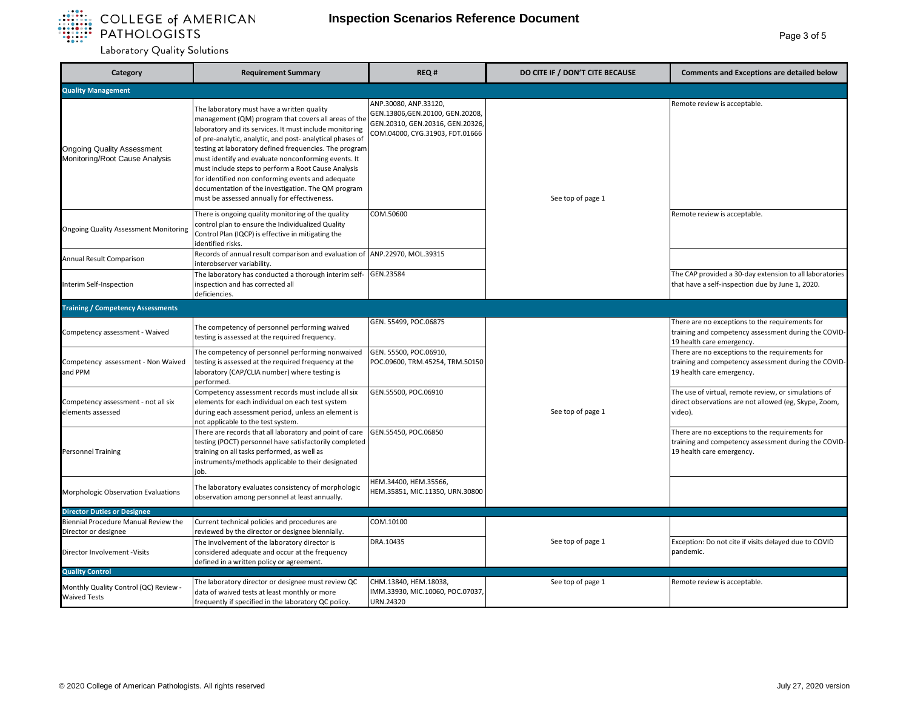

| Category                                                            | <b>Requirement Summary</b>                                                                                                                                                                                                                                                                                                                                                                                                                                                                                                                                    | REQ#                                                                                                                             | DO CITE IF / DON'T CITE BECAUSE | <b>Comments and Exceptions are detailed below</b>                                                                                    |
|---------------------------------------------------------------------|---------------------------------------------------------------------------------------------------------------------------------------------------------------------------------------------------------------------------------------------------------------------------------------------------------------------------------------------------------------------------------------------------------------------------------------------------------------------------------------------------------------------------------------------------------------|----------------------------------------------------------------------------------------------------------------------------------|---------------------------------|--------------------------------------------------------------------------------------------------------------------------------------|
| <b>Quality Management</b>                                           |                                                                                                                                                                                                                                                                                                                                                                                                                                                                                                                                                               |                                                                                                                                  |                                 |                                                                                                                                      |
| <b>Ongoing Quality Assessment</b><br>Monitoring/Root Cause Analysis | The laboratory must have a written quality<br>management (QM) program that covers all areas of the<br>laboratory and its services. It must include monitoring<br>of pre-analytic, analytic, and post- analytical phases of<br>testing at laboratory defined frequencies. The program<br>must identify and evaluate nonconforming events. It<br>must include steps to perform a Root Cause Analysis<br>for identified non conforming events and adequate<br>documentation of the investigation. The QM program<br>must be assessed annually for effectiveness. | ANP.30080, ANP.33120,<br>GEN.13806, GEN.20100, GEN.20208,<br>GEN.20310, GEN.20316, GEN.20326,<br>COM.04000, CYG.31903, FDT.01666 | See top of page 1               | Remote review is acceptable.                                                                                                         |
| <b>Ongoing Quality Assessment Monitoring</b>                        | There is ongoing quality monitoring of the quality<br>control plan to ensure the Individualized Quality<br>Control Plan (IQCP) is effective in mitigating the<br>identified risks.                                                                                                                                                                                                                                                                                                                                                                            | COM.50600                                                                                                                        |                                 | Remote review is acceptable.                                                                                                         |
| Annual Result Comparison                                            | Records of annual result comparison and evaluation of<br>interobserver variability.                                                                                                                                                                                                                                                                                                                                                                                                                                                                           | ANP.22970, MOL.39315                                                                                                             |                                 |                                                                                                                                      |
| Interim Self-Inspection                                             | The laboratory has conducted a thorough interim self-<br>inspection and has corrected all<br>deficiencies.                                                                                                                                                                                                                                                                                                                                                                                                                                                    | GEN.23584                                                                                                                        |                                 | The CAP provided a 30-day extension to all laboratories<br>that have a self-inspection due by June 1, 2020.                          |
| <b>Training / Competency Assessments</b>                            |                                                                                                                                                                                                                                                                                                                                                                                                                                                                                                                                                               |                                                                                                                                  |                                 |                                                                                                                                      |
| Competency assessment - Waived                                      | The competency of personnel performing waived<br>testing is assessed at the required frequency.                                                                                                                                                                                                                                                                                                                                                                                                                                                               | GEN. 55499, POC.06875                                                                                                            |                                 | There are no exceptions to the requirements for<br>training and competency assessment during the COVID-<br>19 health care emergency. |
| Competency assessment - Non Waived<br>and PPM                       | The competency of personnel performing nonwaived<br>testing is assessed at the required frequency at the<br>laboratory (CAP/CLIA number) where testing is<br>performed.                                                                                                                                                                                                                                                                                                                                                                                       | GEN. 55500, POC.06910,<br>POC.09600, TRM.45254, TRM.50150                                                                        |                                 | There are no exceptions to the requirements for<br>training and competency assessment during the COVID-<br>19 health care emergency. |
| Competency assessment - not all six<br>elements assessed            | Competency assessment records must include all six<br>elements for each individual on each test system<br>during each assessment period, unless an element is<br>not applicable to the test system.                                                                                                                                                                                                                                                                                                                                                           | GEN.55500, POC.06910                                                                                                             | See top of page 1               | The use of virtual, remote review, or simulations of<br>direct observations are not allowed (eg, Skype, Zoom,<br>video).             |
| <b>Personnel Training</b>                                           | There are records that all laboratory and point of care<br>testing (POCT) personnel have satisfactorily completed<br>training on all tasks performed, as well as<br>instruments/methods applicable to their designated<br>job.                                                                                                                                                                                                                                                                                                                                | GEN.55450, POC.06850                                                                                                             |                                 | There are no exceptions to the requirements for<br>training and competency assessment during the COVID-<br>19 health care emergency. |
| Morphologic Observation Evaluations                                 | The laboratory evaluates consistency of morphologic<br>observation among personnel at least annually.                                                                                                                                                                                                                                                                                                                                                                                                                                                         | HEM.34400, HEM.35566,<br>HEM.35851, MIC.11350, URN.30800                                                                         |                                 |                                                                                                                                      |
| <b>Director Duties or Designee</b>                                  |                                                                                                                                                                                                                                                                                                                                                                                                                                                                                                                                                               |                                                                                                                                  |                                 |                                                                                                                                      |
| Biennial Procedure Manual Review the<br>Director or designee        | Current technical policies and procedures are<br>reviewed by the director or designee biennially.                                                                                                                                                                                                                                                                                                                                                                                                                                                             | COM.10100                                                                                                                        |                                 |                                                                                                                                      |
| Director Involvement - Visits                                       | The involvement of the laboratory director is<br>considered adequate and occur at the frequency<br>defined in a written policy or agreement.                                                                                                                                                                                                                                                                                                                                                                                                                  | DRA.10435                                                                                                                        | See top of page 1               | Exception: Do not cite if visits delayed due to COVID<br>pandemic.                                                                   |
| <b>Quality Control</b>                                              |                                                                                                                                                                                                                                                                                                                                                                                                                                                                                                                                                               |                                                                                                                                  |                                 |                                                                                                                                      |
| Monthly Quality Control (QC) Review -<br><b>Waived Tests</b>        | The laboratory director or designee must review QC<br>data of waived tests at least monthly or more<br>frequently if specified in the laboratory QC policy.                                                                                                                                                                                                                                                                                                                                                                                                   | CHM.13840, HEM.18038,<br>IMM.33930, MIC.10060, POC.07037,<br>URN.24320                                                           | See top of page 1               | Remote review is acceptable.                                                                                                         |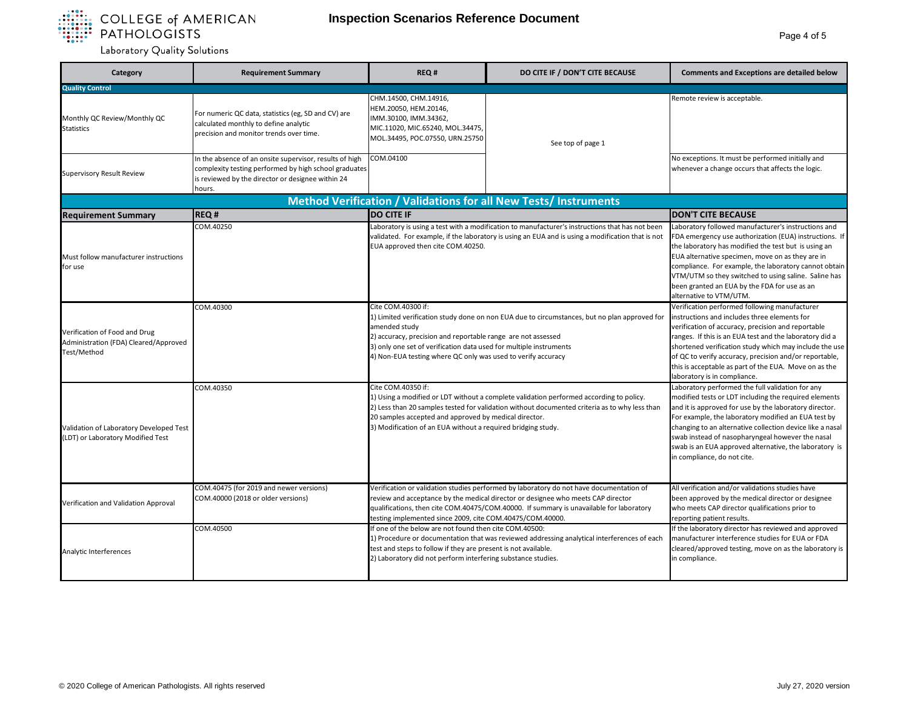

| Category                                                                              | <b>Requirement Summary</b>                                                                                                                                                      | REQ#                                                                                                                                                                                                                                                                                                                                      | DO CITE IF / DON'T CITE BECAUSE                                                             | <b>Comments and Exceptions are detailed below</b>                                                                                                                                                                                                                                                                                                                                                                                    |  |  |
|---------------------------------------------------------------------------------------|---------------------------------------------------------------------------------------------------------------------------------------------------------------------------------|-------------------------------------------------------------------------------------------------------------------------------------------------------------------------------------------------------------------------------------------------------------------------------------------------------------------------------------------|---------------------------------------------------------------------------------------------|--------------------------------------------------------------------------------------------------------------------------------------------------------------------------------------------------------------------------------------------------------------------------------------------------------------------------------------------------------------------------------------------------------------------------------------|--|--|
| <b>Quality Control</b>                                                                |                                                                                                                                                                                 |                                                                                                                                                                                                                                                                                                                                           |                                                                                             |                                                                                                                                                                                                                                                                                                                                                                                                                                      |  |  |
| Monthly QC Review/Monthly QC<br><b>Statistics</b>                                     | For numeric QC data, statistics (eg, SD and CV) are<br>calculated monthly to define analytic<br>precision and monitor trends over time.                                         | CHM.14500, CHM.14916,<br>HEM.20050, HEM.20146,<br>IMM.30100, IMM.34362,<br>MIC.11020, MIC.65240, MOL.34475,<br>MOL.34495, POC.07550, URN.25750                                                                                                                                                                                            | See top of page 1                                                                           | Remote review is acceptable.                                                                                                                                                                                                                                                                                                                                                                                                         |  |  |
| <b>Supervisory Result Review</b>                                                      | In the absence of an onsite supervisor, results of high<br>complexity testing performed by high school graduates<br>is reviewed by the director or designee within 24<br>hours. | COM.04100                                                                                                                                                                                                                                                                                                                                 |                                                                                             | No exceptions. It must be performed initially and<br>whenever a change occurs that affects the logic.                                                                                                                                                                                                                                                                                                                                |  |  |
|                                                                                       | Method Verification / Validations for all New Tests/ Instruments                                                                                                                |                                                                                                                                                                                                                                                                                                                                           |                                                                                             |                                                                                                                                                                                                                                                                                                                                                                                                                                      |  |  |
| <b>Requirement Summary</b>                                                            | <b>REQ#</b>                                                                                                                                                                     | <b>DO CITE IF</b>                                                                                                                                                                                                                                                                                                                         |                                                                                             | <b>DON'T CITE BECAUSE</b>                                                                                                                                                                                                                                                                                                                                                                                                            |  |  |
| Must follow manufacturer instructions<br>for use                                      | COM.40250                                                                                                                                                                       | Laboratory is using a test with a modification to manufacturer's instructions that has not been<br>validated. For example, if the laboratory is using an EUA and is using a modification that is not<br>EUA approved then cite COM.40250.                                                                                                 |                                                                                             | Laboratory followed manufacturer's instructions and<br>FDA emergency use authorization (EUA) instructions. If<br>the laboratory has modified the test but is using an<br>EUA alternative specimen, move on as they are in<br>compliance. For example, the laboratory cannot obtain<br>VTM/UTM so they switched to using saline. Saline has<br>been granted an EUA by the FDA for use as an<br>alternative to VTM/UTM.                |  |  |
| Verification of Food and Drug<br>Administration (FDA) Cleared/Approved<br>Test/Method | COM.40300                                                                                                                                                                       | Cite COM.40300 if:<br>1) Limited verification study done on non EUA due to circumstances, but no plan approved for<br>amended study<br>2) accuracy, precision and reportable range are not assessed<br>3) only one set of verification data used for multiple instruments<br>4) Non-EUA testing where QC only was used to verify accuracy |                                                                                             | Verification performed following manufacturer<br>instructions and includes three elements for<br>verification of accuracy, precision and reportable<br>ranges. If this is an EUA test and the laboratory did a<br>shortened verification study which may include the use<br>of QC to verify accuracy, precision and/or reportable,<br>this is acceptable as part of the EUA. Move on as the<br>laboratory is in compliance.          |  |  |
| Validation of Laboratory Developed Test<br>(LDT) or Laboratory Modified Test          | COM.40350                                                                                                                                                                       | Cite COM.40350 if:<br>1) Using a modified or LDT without a complete validation performed according to policy.<br>2) Less than 20 samples tested for validation without documented criteria as to why less than<br>20 samples accepted and approved by medical director.<br>3) Modification of an EUA without a required bridging study.   |                                                                                             | Laboratory performed the full validation for any<br>modified tests or LDT including the required elements<br>and it is approved for use by the laboratory director.<br>For example, the laboratory modified an EUA test by<br>changing to an alternative collection device like a nasal<br>swab instead of nasopharyngeal however the nasal<br>swab is an EUA approved alternative, the laboratory is<br>in compliance, do not cite. |  |  |
| Verification and Validation Approval                                                  | COM.40475 (for 2019 and newer versions)<br>COM.40000 (2018 or older versions)                                                                                                   | Verification or validation studies performed by laboratory do not have documentation of<br>review and acceptance by the medical director or designee who meets CAP director<br>qualifications, then cite COM.40475/COM.40000. If summary is unavailable for laboratory<br>testing implemented since 2009, cite COM.40475/COM.40000.       |                                                                                             | All verification and/or validations studies have<br>been approved by the medical director or designee<br>who meets CAP director qualifications prior to<br>reporting patient results.                                                                                                                                                                                                                                                |  |  |
| Analytic Interferences                                                                | COM.40500                                                                                                                                                                       | If one of the below are not found then cite COM.40500:<br>test and steps to follow if they are present is not available.<br>2) Laboratory did not perform interfering substance studies.                                                                                                                                                  | 1) Procedure or documentation that was reviewed addressing analytical interferences of each | If the laboratory director has reviewed and approved<br>manufacturer interference studies for EUA or FDA<br>cleared/approved testing, move on as the laboratory is<br>in compliance.                                                                                                                                                                                                                                                 |  |  |